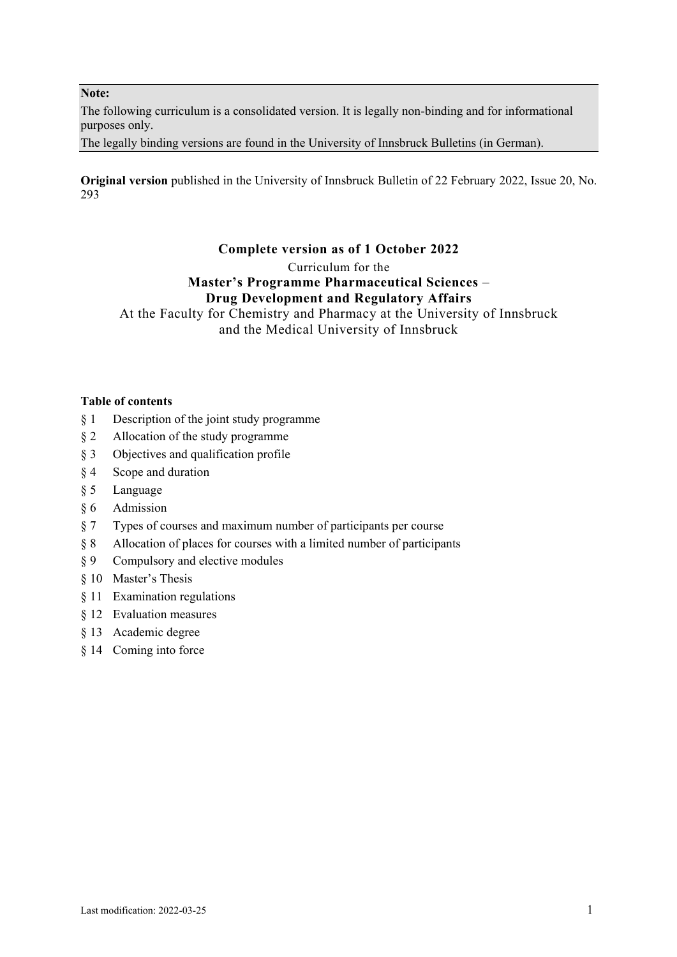**Note:**

The following curriculum is a consolidated version. It is legally non-binding and for informational purposes only.

The legally binding versions are found in the University of Innsbruck Bulletins (in German).

**Original version** published in the University of Innsbruck Bulletin of 22 February 2022, Issue 20, No. 293

# **Complete version as of 1 October 2022**

Curriculum for the

# **Master's Programme Pharmaceutical Sciences** – **Drug Development and Regulatory Affairs**

At the Faculty for Chemistry and Pharmacy at the University of Innsbruck and the Medical University of Innsbruck

#### **Table of contents**

- § 1 Description of the joint study programme
- § 2 Allocation of the study programme
- § 3 Objectives and qualification profile
- § 4 Scope and duration
- § 5 Language
- § 6 Admission
- § 7 Types of courses and maximum number of participants per course
- § 8 Allocation of places for courses with a limited number of participants
- § 9 Compulsory and elective modules
- § 10 Master's Thesis
- § 11 Examination regulations
- § 12 Evaluation measures
- § 13 Academic degree
- § 14 Coming into force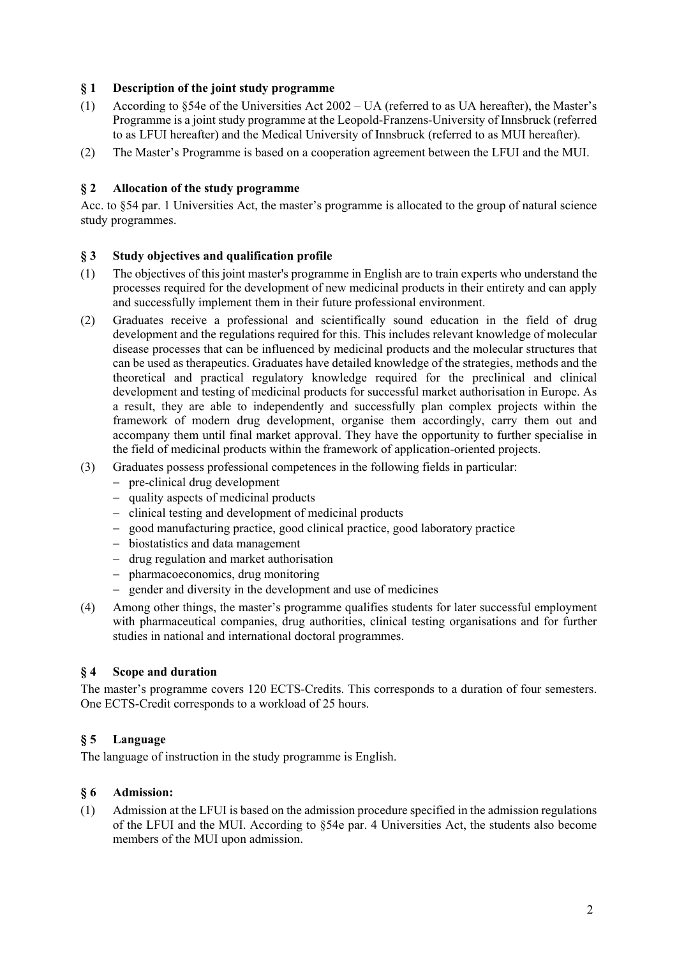# **§ 1 Description of the joint study programme**

- (1) According to §54e of the Universities Act 2002 UA (referred to as UA hereafter), the Master's Programme is a joint study programme at the Leopold-Franzens-University of Innsbruck (referred to as LFUI hereafter) and the Medical University of Innsbruck (referred to as MUI hereafter).
- (2) The Master's Programme is based on a cooperation agreement between the LFUI and the MUI.

# **§ 2 Allocation of the study programme**

Acc. to §54 par. 1 Universities Act, the master's programme is allocated to the group of natural science study programmes.

#### **§ 3 Study objectives and qualification profile**

- (1) The objectives of this joint master's programme in English are to train experts who understand the processes required for the development of new medicinal products in their entirety and can apply and successfully implement them in their future professional environment.
- (2) Graduates receive a professional and scientifically sound education in the field of drug development and the regulations required for this. This includes relevant knowledge of molecular disease processes that can be influenced by medicinal products and the molecular structures that can be used as therapeutics. Graduates have detailed knowledge of the strategies, methods and the theoretical and practical regulatory knowledge required for the preclinical and clinical development and testing of medicinal products for successful market authorisation in Europe. As a result, they are able to independently and successfully plan complex projects within the framework of modern drug development, organise them accordingly, carry them out and accompany them until final market approval. They have the opportunity to further specialise in the field of medicinal products within the framework of application-oriented projects.
- (3) Graduates possess professional competences in the following fields in particular:
	- pre-clinical drug development
	- quality aspects of medicinal products
	- clinical testing and development of medicinal products
	- good manufacturing practice, good clinical practice, good laboratory practice
	- biostatistics and data management
	- drug regulation and market authorisation
	- pharmacoeconomics, drug monitoring
	- gender and diversity in the development and use of medicines
- (4) Among other things, the master's programme qualifies students for later successful employment with pharmaceutical companies, drug authorities, clinical testing organisations and for further studies in national and international doctoral programmes.

#### **§ 4 Scope and duration**

The master's programme covers 120 ECTS-Credits. This corresponds to a duration of four semesters. One ECTS-Credit corresponds to a workload of 25 hours.

#### **§ 5 Language**

The language of instruction in the study programme is English.

#### **§ 6 Admission:**

(1) Admission at the LFUI is based on the admission procedure specified in the admission regulations of the LFUI and the MUI. According to §54e par. 4 Universities Act, the students also become members of the MUI upon admission.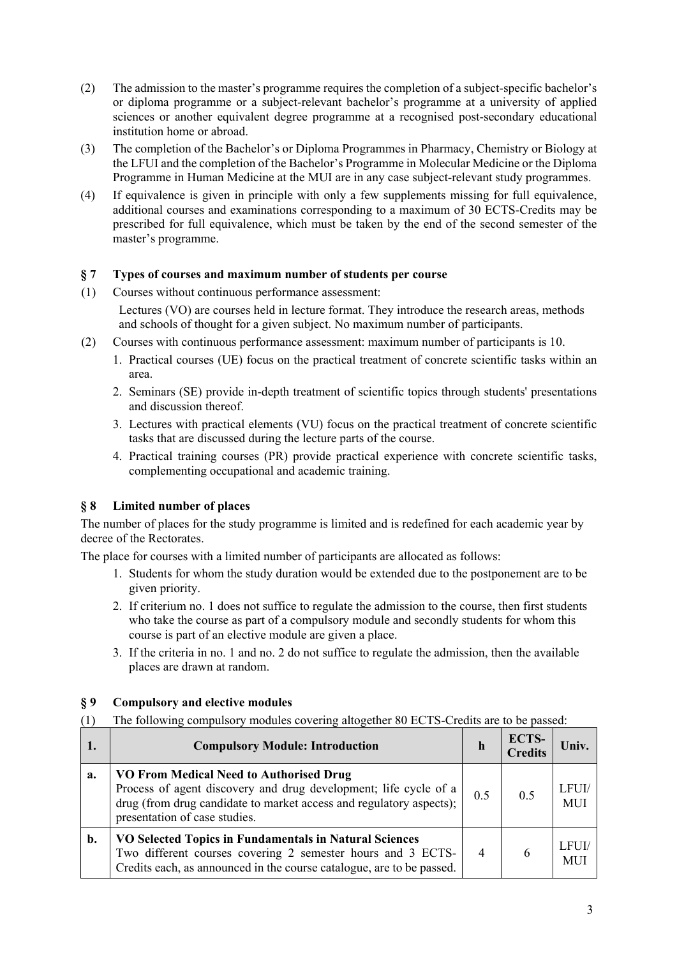- (2) The admission to the master's programme requires the completion of a subject-specific bachelor's or diploma programme or a subject-relevant bachelor's programme at a university of applied sciences or another equivalent degree programme at a recognised post-secondary educational institution home or abroad.
- (3) The completion of the Bachelor's or Diploma Programmes in Pharmacy, Chemistry or Biology at the LFUI and the completion of the Bachelor's Programme in Molecular Medicine or the Diploma Programme in Human Medicine at the MUI are in any case subject-relevant study programmes.
- (4) If equivalence is given in principle with only a few supplements missing for full equivalence, additional courses and examinations corresponding to a maximum of 30 ECTS-Credits may be prescribed for full equivalence, which must be taken by the end of the second semester of the master's programme.

#### **§ 7 Types of courses and maximum number of students per course**

- (1) Courses without continuous performance assessment: Lectures (VO) are courses held in lecture format. They introduce the research areas, methods and schools of thought for a given subject. No maximum number of participants.
- (2) Courses with continuous performance assessment: maximum number of participants is 10.
	- 1. Practical courses (UE) focus on the practical treatment of concrete scientific tasks within an area.
	- 2. Seminars (SE) provide in-depth treatment of scientific topics through students' presentations and discussion thereof.
	- 3. Lectures with practical elements (VU) focus on the practical treatment of concrete scientific tasks that are discussed during the lecture parts of the course.
	- 4. Practical training courses (PR) provide practical experience with concrete scientific tasks, complementing occupational and academic training.

# **§ 8 Limited number of places**

The number of places for the study programme is limited and is redefined for each academic year by decree of the Rectorates.

The place for courses with a limited number of participants are allocated as follows:

- 1. Students for whom the study duration would be extended due to the postponement are to be given priority.
- 2. If criterium no. 1 does not suffice to regulate the admission to the course, then first students who take the course as part of a compulsory module and secondly students for whom this course is part of an elective module are given a place.
- 3. If the criteria in no. 1 and no. 2 do not suffice to regulate the admission, then the available places are drawn at random.

#### **§ 9 Compulsory and elective modules**

(1) The following compulsory modules covering altogether 80 ECTS-Credits are to be passed:

| 1. | <b>Compulsory Module: Introduction</b>                                                                                                                                                                              | $\mathbf h$    | ECTS-<br><b>Credits</b> | Univ.               |
|----|---------------------------------------------------------------------------------------------------------------------------------------------------------------------------------------------------------------------|----------------|-------------------------|---------------------|
| a. | VO From Medical Need to Authorised Drug<br>Process of agent discovery and drug development; life cycle of a<br>drug (from drug candidate to market access and regulatory aspects);<br>presentation of case studies. | 0.5            | 0.5                     | LFUI/<br><b>MUI</b> |
| b. | VO Selected Topics in Fundamentals in Natural Sciences<br>Two different courses covering 2 semester hours and 3 ECTS-<br>Credits each, as announced in the course catalogue, are to be passed.                      | $\overline{4}$ | 6                       | LFUI/<br>MUI        |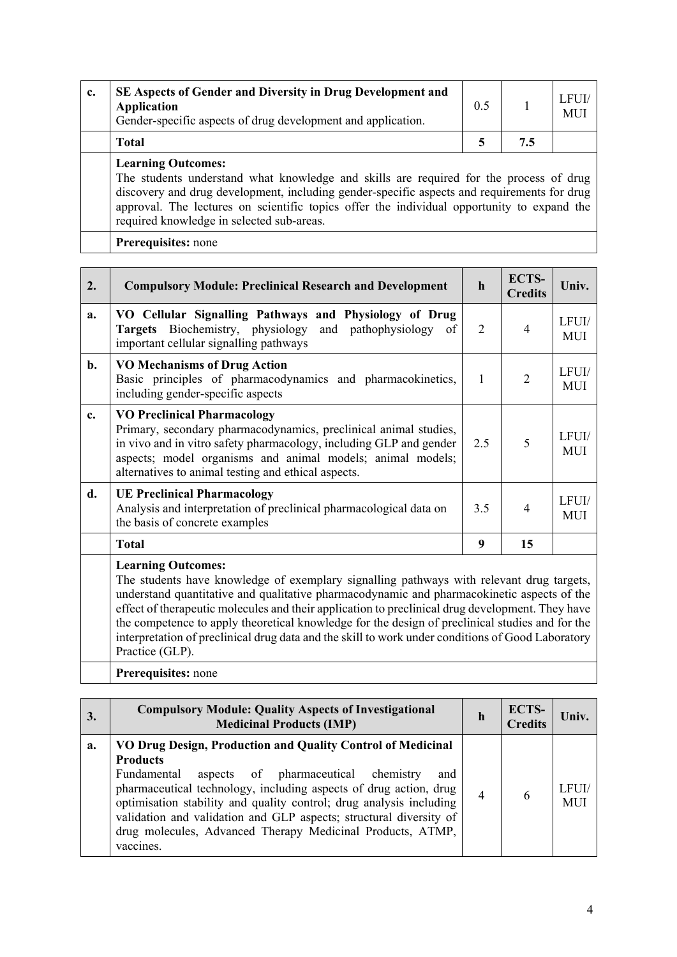| c. | SE Aspects of Gender and Diversity in Drug Development and<br><b>Application</b><br>Gender-specific aspects of drug development and application.                                                                                                                                                                                                              | 0.5 |     | LFUI/<br>MU |  |  |
|----|---------------------------------------------------------------------------------------------------------------------------------------------------------------------------------------------------------------------------------------------------------------------------------------------------------------------------------------------------------------|-----|-----|-------------|--|--|
|    | <b>Total</b>                                                                                                                                                                                                                                                                                                                                                  | 5   | 7.5 |             |  |  |
|    | <b>Learning Outcomes:</b><br>The students understand what knowledge and skills are required for the process of drug<br>discovery and drug development, including gender-specific aspects and requirements for drug<br>approval. The lectures on scientific topics offer the individual opportunity to expand the<br>required knowledge in selected sub-areas. |     |     |             |  |  |
|    | Prerequisites: none                                                                                                                                                                                                                                                                                                                                           |     |     |             |  |  |

| 2. | <b>Compulsory Module: Preclinical Research and Development</b>                                                                                                                                                                                                                                                                                                                                                                                                                    | $\mathbf{h}$ | <b>ECTS-</b><br><b>Credits</b> | Univ.               |
|----|-----------------------------------------------------------------------------------------------------------------------------------------------------------------------------------------------------------------------------------------------------------------------------------------------------------------------------------------------------------------------------------------------------------------------------------------------------------------------------------|--------------|--------------------------------|---------------------|
| a. | VO Cellular Signalling Pathways and Physiology of Drug<br><b>Targets</b> Biochemistry, physiology and pathophysiology of<br>important cellular signalling pathways                                                                                                                                                                                                                                                                                                                | 2            | $\overline{4}$                 | LFUI/<br><b>MUI</b> |
| b. | <b>VO Mechanisms of Drug Action</b><br>Basic principles of pharmacodynamics and pharmacokinetics,<br>including gender-specific aspects                                                                                                                                                                                                                                                                                                                                            | 1            | $\overline{2}$                 | LFUI/<br><b>MUI</b> |
| c. | <b>VO Preclinical Pharmacology</b><br>Primary, secondary pharmacodynamics, preclinical animal studies,<br>in vivo and in vitro safety pharmacology, including GLP and gender<br>aspects; model organisms and animal models; animal models;<br>alternatives to animal testing and ethical aspects.                                                                                                                                                                                 | 2.5          | 5                              | LFUI/<br><b>MUI</b> |
| d. | <b>UE Preclinical Pharmacology</b><br>Analysis and interpretation of preclinical pharmacological data on<br>the basis of concrete examples                                                                                                                                                                                                                                                                                                                                        | 3.5          | $\overline{4}$                 | LFUI/<br><b>MUI</b> |
|    | <b>Total</b>                                                                                                                                                                                                                                                                                                                                                                                                                                                                      | 9            | 15                             |                     |
|    | <b>Learning Outcomes:</b><br>The students have knowledge of exemplary signalling pathways with relevant drug targets,<br>understand quantitative and qualitative pharmacodynamic and pharmacokinetic aspects of the<br>$\mathcal{L} = \{ \mathcal{L} \mid \mathcal{L} \mathcal{L} \}$ . The contract of the contract of the contract of the contract of the contract of the contract of the contract of the contract of the contract of the contract of the contract of the contr |              |                                |                     |

effect of therapeutic molecules and their application to preclinical drug development. They have the competence to apply theoretical knowledge for the design of preclinical studies and for the interpretation of preclinical drug data and the skill to work under conditions of Good Laboratory Practice (GLP).

**Prerequisites:** none

| 3. | <b>Compulsory Module: Quality Aspects of Investigational</b><br><b>Medicinal Products (IMP)</b>                                                                                                                                                                                                                                                                                                                                          | h | ECTS-<br><b>Credits</b> | Univ.               |
|----|------------------------------------------------------------------------------------------------------------------------------------------------------------------------------------------------------------------------------------------------------------------------------------------------------------------------------------------------------------------------------------------------------------------------------------------|---|-------------------------|---------------------|
| a. | VO Drug Design, Production and Quality Control of Medicinal<br><b>Products</b><br>aspects of pharmaceutical chemistry<br>Fundamental<br>and<br>pharmaceutical technology, including aspects of drug action, drug<br>optimisation stability and quality control; drug analysis including<br>validation and validation and GLP aspects; structural diversity of<br>drug molecules, Advanced Therapy Medicinal Products, ATMP,<br>vaccines. | 4 | 6                       | LFUI/<br><b>MUI</b> |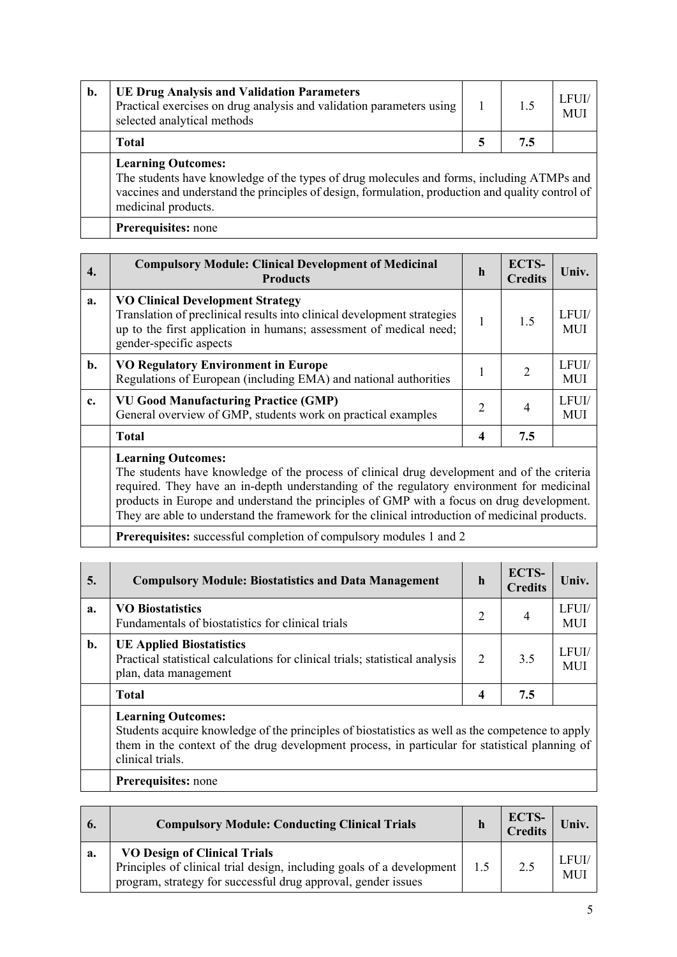| b. | <b>UE Drug Analysis and Validation Parameters</b><br>Practical exercises on drug analysis and validation parameters using<br>selected analytical methods                                                                                          |  | 1.5 | LFUI/<br><b>MUI</b> |  |
|----|---------------------------------------------------------------------------------------------------------------------------------------------------------------------------------------------------------------------------------------------------|--|-----|---------------------|--|
|    | <b>Total</b>                                                                                                                                                                                                                                      |  | 7.5 |                     |  |
|    | <b>Learning Outcomes:</b><br>The students have knowledge of the types of drug molecules and forms, including ATMPs and<br>vaccines and understand the principles of design, formulation, production and quality control of<br>medicinal products. |  |     |                     |  |
|    | Prerequisites: none                                                                                                                                                                                                                               |  |     |                     |  |

| 4. | <b>Compulsory Module: Clinical Development of Medicinal</b><br><b>Products</b>                                                                                                                                      | $\mathbf h$  | ECTS-<br><b>Credits</b> | Univ.               |
|----|---------------------------------------------------------------------------------------------------------------------------------------------------------------------------------------------------------------------|--------------|-------------------------|---------------------|
| a. | <b>VO Clinical Development Strategy</b><br>Translation of preclinical results into clinical development strategies<br>up to the first application in humans; assessment of medical need;<br>gender-specific aspects | $\mathbf{1}$ | 1.5                     | LFUI/<br><b>MUI</b> |
| b. | <b>VO Regulatory Environment in Europe</b><br>Regulations of European (including EMA) and national authorities                                                                                                      | 1            | $\overline{2}$          | LFUI/<br><b>MUI</b> |
| c. | <b>VU Good Manufacturing Practice (GMP)</b><br>General overview of GMP, students work on practical examples                                                                                                         | 2            | 4                       | LFUI/<br><b>MUI</b> |
|    | <b>Total</b>                                                                                                                                                                                                        | 4            | 7.5                     |                     |
|    | <b>Learning Outcomes:</b><br>The students have knowledge of the process of clinical drug development and of the criteria                                                                                            |              |                         |                     |

required. They have an in-depth understanding of the regulatory environment for medicinal products in Europe and understand the principles of GMP with a focus on drug development. They are able to understand the framework for the clinical introduction of medicinal products.

**Prerequisites:** successful completion of compulsory modules 1 and 2

| 5.             | <b>Compulsory Module: Biostatistics and Data Management</b>                                                                                                                                                                                         | $\mathbf h$ | <b>ECTS-</b><br><b>Credits</b> | Univ.               |  |
|----------------|-----------------------------------------------------------------------------------------------------------------------------------------------------------------------------------------------------------------------------------------------------|-------------|--------------------------------|---------------------|--|
| a.             | <b>VO Biostatistics</b><br>Fundamentals of biostatistics for clinical trials                                                                                                                                                                        | 2           | 4                              | LFUI/<br><b>MUI</b> |  |
| $\mathbf{b}$ . | <b>UE Applied Biostatistics</b><br>Practical statistical calculations for clinical trials; statistical analysis<br>plan, data management                                                                                                            | 2           | 3.5                            | LFUI/<br><b>MUI</b> |  |
|                | <b>Total</b>                                                                                                                                                                                                                                        | 4           | 7.5                            |                     |  |
|                | <b>Learning Outcomes:</b><br>Students acquire knowledge of the principles of biostatistics as well as the competence to apply<br>them in the context of the drug development process, in particular for statistical planning of<br>clinical trials. |             |                                |                     |  |
|                | Prerequisites: none                                                                                                                                                                                                                                 |             |                                |                     |  |

|    | <b>Compulsory Module: Conducting Clinical Trials</b>                                                                                                                            | ECTS-<br><b>Credits</b> | Univ.                     |
|----|---------------------------------------------------------------------------------------------------------------------------------------------------------------------------------|-------------------------|---------------------------|
| a. | <b>VO Design of Clinical Trials</b><br>Principles of clinical trial design, including goals of a development  <br>program, strategy for successful drug approval, gender issues | 2.5                     | <b>LFUL</b><br><b>MUI</b> |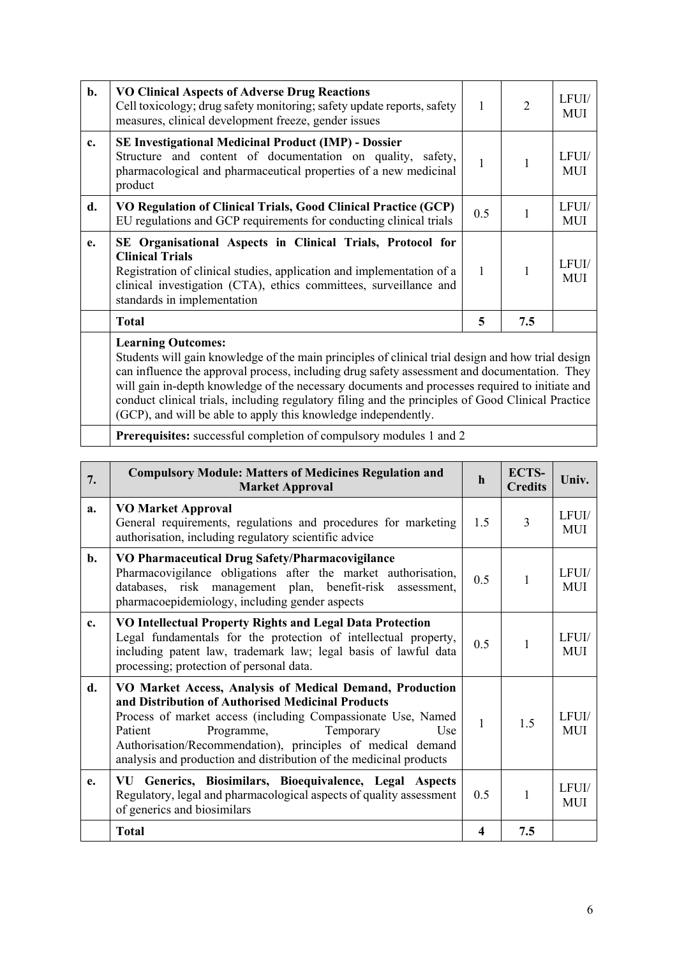| b. | <b>VO Clinical Aspects of Adverse Drug Reactions</b><br>Cell toxicology; drug safety monitoring; safety update reports, safety<br>measures, clinical development freeze, gender issues                                                                                                                                                                                                                                                                                                                  | 1            | $\overline{2}$ | LFUI/<br><b>MUI</b> |
|----|---------------------------------------------------------------------------------------------------------------------------------------------------------------------------------------------------------------------------------------------------------------------------------------------------------------------------------------------------------------------------------------------------------------------------------------------------------------------------------------------------------|--------------|----------------|---------------------|
| c. | <b>SE Investigational Medicinal Product (IMP) - Dossier</b><br>Structure and content of documentation on quality, safety,<br>pharmacological and pharmaceutical properties of a new medicinal<br>product                                                                                                                                                                                                                                                                                                | 1            | 1              | LFUI/<br><b>MUI</b> |
| d. | VO Regulation of Clinical Trials, Good Clinical Practice (GCP)<br>EU regulations and GCP requirements for conducting clinical trials                                                                                                                                                                                                                                                                                                                                                                    | 0.5          | $\mathbf{1}$   | LFUI/<br><b>MUI</b> |
| e. | SE Organisational Aspects in Clinical Trials, Protocol for<br><b>Clinical Trials</b><br>Registration of clinical studies, application and implementation of a<br>clinical investigation (CTA), ethics committees, surveillance and<br>standards in implementation                                                                                                                                                                                                                                       | $\mathbf{1}$ | $\mathbf{1}$   | LFUI/<br><b>MUI</b> |
|    | <b>Total</b>                                                                                                                                                                                                                                                                                                                                                                                                                                                                                            | 5            | 7.5            |                     |
|    | <b>Learning Outcomes:</b><br>Students will gain knowledge of the main principles of clinical trial design and how trial design<br>can influence the approval process, including drug safety assessment and documentation. They<br>will gain in-depth knowledge of the necessary documents and processes required to initiate and<br>conduct clinical trials, including regulatory filing and the principles of Good Clinical Practice<br>(GCP), and will be able to apply this knowledge independently. |              |                |                     |

**Prerequisites:** successful completion of compulsory modules 1 and 2

| 7.             | <b>Compulsory Module: Matters of Medicines Regulation and</b><br><b>Market Approval</b>                                                                                                                                                                                                                                                                         | $\mathbf h$  | ECTS-<br><b>Credits</b> | Univ.               |
|----------------|-----------------------------------------------------------------------------------------------------------------------------------------------------------------------------------------------------------------------------------------------------------------------------------------------------------------------------------------------------------------|--------------|-------------------------|---------------------|
| a.             | <b>VO Market Approval</b><br>General requirements, regulations and procedures for marketing<br>authorisation, including regulatory scientific advice                                                                                                                                                                                                            | 1.5          | $\overline{3}$          | LFUI/<br><b>MUI</b> |
| $\mathbf{b}$ . | VO Pharmaceutical Drug Safety/Pharmacovigilance<br>Pharmacovigilance obligations after the market authorisation,<br>databases, risk management plan, benefit-risk<br>assessment.<br>pharmacoepidemiology, including gender aspects                                                                                                                              | 0.5          | $\mathbf{1}$            | LFUI/<br><b>MUI</b> |
| c.             | VO Intellectual Property Rights and Legal Data Protection<br>Legal fundamentals for the protection of intellectual property,<br>including patent law, trademark law; legal basis of lawful data<br>processing; protection of personal data.                                                                                                                     | 0.5          | $\mathbf{1}$            | LFUI/<br><b>MUI</b> |
| d.             | VO Market Access, Analysis of Medical Demand, Production<br>and Distribution of Authorised Medicinal Products<br>Process of market access (including Compassionate Use, Named<br>Programme,<br>Temporary<br>Use<br>Patient<br>Authorisation/Recommendation), principles of medical demand<br>analysis and production and distribution of the medicinal products | $\mathbf{1}$ | 1.5                     | LFUI/<br><b>MUI</b> |
| e.             | VU Generics, Biosimilars, Bioequivalence, Legal Aspects<br>Regulatory, legal and pharmacological aspects of quality assessment<br>of generics and biosimilars                                                                                                                                                                                                   | 0.5          | $\mathbf{1}$            | LFUI/<br><b>MUI</b> |
|                | <b>Total</b>                                                                                                                                                                                                                                                                                                                                                    | 4            | 7.5                     |                     |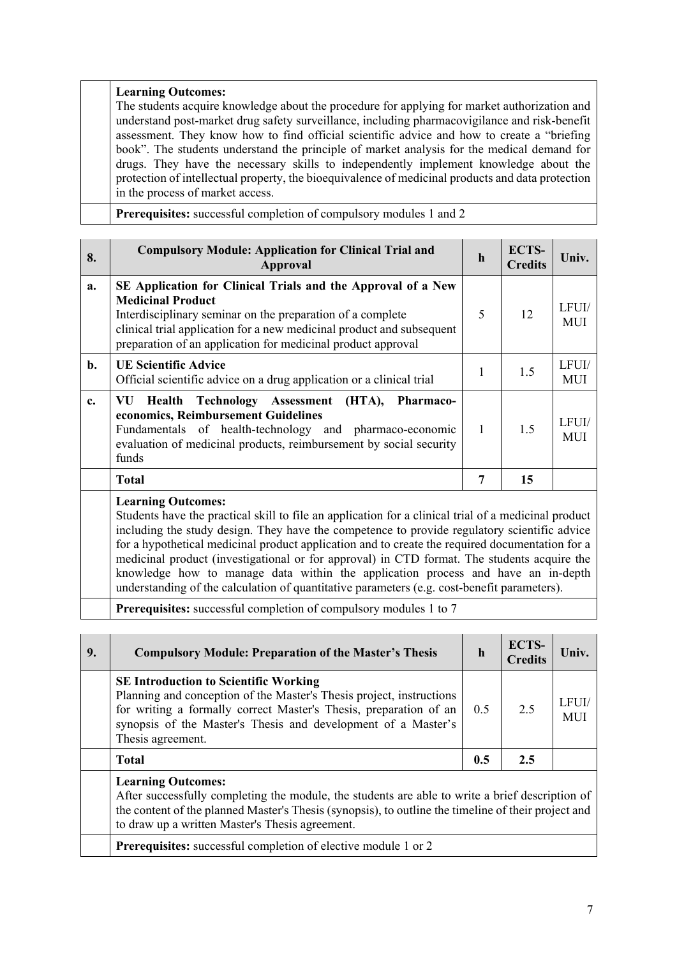#### **Learning Outcomes:**

The students acquire knowledge about the procedure for applying for market authorization and understand post-market drug safety surveillance, including pharmacovigilance and risk-benefit assessment. They know how to find official scientific advice and how to create a "briefing book". The students understand the principle of market analysis for the medical demand for drugs. They have the necessary skills to independently implement knowledge about the protection of intellectual property, the bioequivalence of medicinal products and data protection in the process of market access.

**Prerequisites:** successful completion of compulsory modules 1 and 2

| 8.             | <b>Compulsory Module: Application for Clinical Trial and</b><br>Approval                                                                                                                                                                                                                        | $\mathbf h$  | ECTS-<br><b>Credits</b> | Univ.               |
|----------------|-------------------------------------------------------------------------------------------------------------------------------------------------------------------------------------------------------------------------------------------------------------------------------------------------|--------------|-------------------------|---------------------|
| a.             | SE Application for Clinical Trials and the Approval of a New<br><b>Medicinal Product</b><br>Interdisciplinary seminar on the preparation of a complete<br>clinical trial application for a new medicinal product and subsequent<br>preparation of an application for medicinal product approval | 5            | 12                      | LFUI/<br><b>MUI</b> |
| $\mathbf{b}$ . | <b>UE Scientific Advice</b><br>Official scientific advice on a drug application or a clinical trial                                                                                                                                                                                             |              | 1.5                     | LFUI/<br><b>MUI</b> |
| c.             | Health Technology Assessment (HTA),<br><b>Pharmaco-</b><br>VU.<br>economics, Reimbursement Guidelines<br>Fundamentals of health-technology and pharmaco-economic<br>evaluation of medicinal products, reimbursement by social security<br>funds                                                 | $\mathbf{1}$ | 1.5                     | LFUL/<br>MUI        |
|                | <b>Total</b>                                                                                                                                                                                                                                                                                    | 7            | 15                      |                     |
|                | <b>Learning Outcomes:</b>                                                                                                                                                                                                                                                                       |              |                         |                     |

Students have the practical skill to file an application for a clinical trial of a medicinal product including the study design. They have the competence to provide regulatory scientific advice for a hypothetical medicinal product application and to create the required documentation for a medicinal product (investigational or for approval) in CTD format. The students acquire the knowledge how to manage data within the application process and have an in-depth understanding of the calculation of quantitative parameters (e.g. cost-benefit parameters).

**Prerequisites:** successful completion of compulsory modules 1 to 7

| 9. | <b>Compulsory Module: Preparation of the Master's Thesis</b>                                                                                                                                                                                                                           | $\mathbf h$ | <b>ECTS-</b><br><b>Credits</b> | Univ.               |
|----|----------------------------------------------------------------------------------------------------------------------------------------------------------------------------------------------------------------------------------------------------------------------------------------|-------------|--------------------------------|---------------------|
|    | <b>SE Introduction to Scientific Working</b><br>Planning and conception of the Master's Thesis project, instructions<br>for writing a formally correct Master's Thesis, preparation of an<br>synopsis of the Master's Thesis and development of a Master's<br>Thesis agreement.        | 0.5         | 2.5                            | LFUI/<br><b>MUI</b> |
|    | <b>Total</b>                                                                                                                                                                                                                                                                           | 0.5         | 2.5                            |                     |
|    | <b>Learning Outcomes:</b><br>After successfully completing the module, the students are able to write a brief description of<br>the content of the planned Master's Thesis (synopsis), to outline the timeline of their project and<br>to draw up a written Master's Thesis agreement. |             |                                |                     |
|    | <b>Prerequisites:</b> successful completion of elective module 1 or 2                                                                                                                                                                                                                  |             |                                |                     |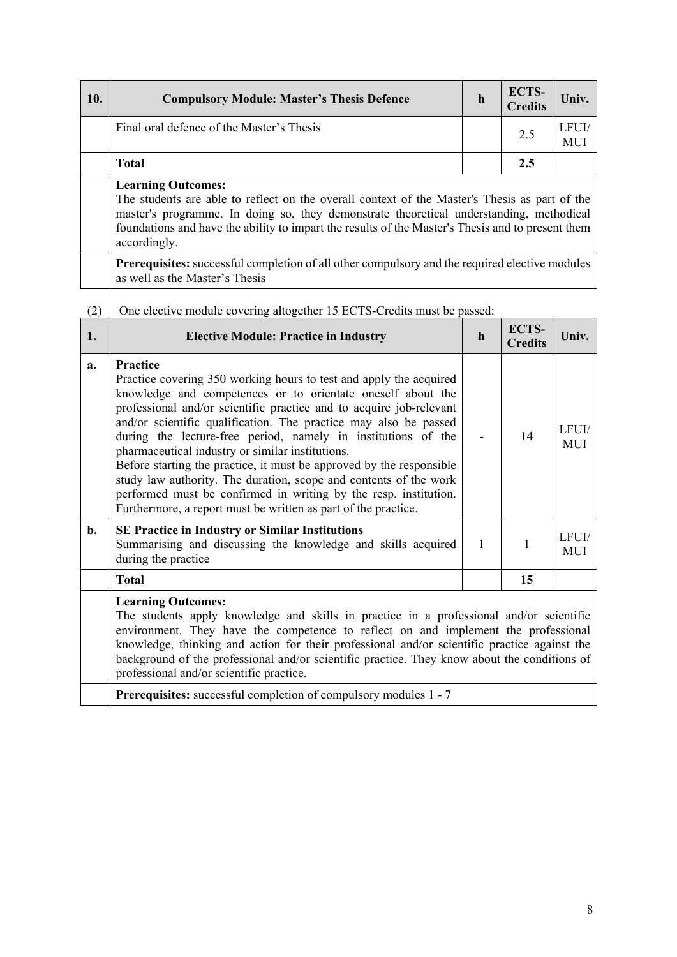| 10. | <b>Compulsory Module: Master's Thesis Defence</b>                                                                          | h | ECTS-<br><b>Credits</b> | Univ. |
|-----|----------------------------------------------------------------------------------------------------------------------------|---|-------------------------|-------|
|     | Final oral defence of the Master's Thesis                                                                                  |   | 2.5                     | LFUL  |
|     | <b>Total</b>                                                                                                               |   | 2.5                     |       |
|     | <b>Learning Outcomes:</b><br>The students are able to reflect on the overall context of the Master's Thesis as part of the |   |                         |       |

The students are able to reflect on the overall context of the Master's Thesis as part of the master's programme. In doing so, they demonstrate theoretical understanding, methodical foundations and have the ability to impart the results of the Master's Thesis and to present them accordingly.

**Prerequisites:** successful completion of all other compulsory and the required elective modules as well as the Master's Thesis

(2) One elective module covering altogether 15 ECTS-Credits must be passed:

| 1.             | <b>Elective Module: Practice in Industry</b>                                                                                                                                                                                                                                                                                                                                                                                                                                                                                                                                                                                                                                                     | $\mathbf h$ | <b>ECTS-</b><br><b>Credits</b> | Univ.               |  |
|----------------|--------------------------------------------------------------------------------------------------------------------------------------------------------------------------------------------------------------------------------------------------------------------------------------------------------------------------------------------------------------------------------------------------------------------------------------------------------------------------------------------------------------------------------------------------------------------------------------------------------------------------------------------------------------------------------------------------|-------------|--------------------------------|---------------------|--|
| a.             | Practice<br>Practice covering 350 working hours to test and apply the acquired<br>knowledge and competences or to orientate oneself about the<br>professional and/or scientific practice and to acquire job-relevant<br>and/or scientific qualification. The practice may also be passed<br>during the lecture-free period, namely in institutions of the<br>pharmaceutical industry or similar institutions.<br>Before starting the practice, it must be approved by the responsible<br>study law authority. The duration, scope and contents of the work<br>performed must be confirmed in writing by the resp. institution.<br>Furthermore, a report must be written as part of the practice. |             | 14                             | LFUI/<br><b>MUI</b> |  |
| $\mathbf{b}$ . | <b>SE Practice in Industry or Similar Institutions</b><br>Summarising and discussing the knowledge and skills acquired<br>during the practice                                                                                                                                                                                                                                                                                                                                                                                                                                                                                                                                                    | 1           | 1                              | LFUI/<br><b>MUI</b> |  |
|                | <b>Total</b>                                                                                                                                                                                                                                                                                                                                                                                                                                                                                                                                                                                                                                                                                     |             | 15                             |                     |  |
|                | <b>Learning Outcomes:</b><br>The students apply knowledge and skills in practice in a professional and/or scientific<br>environment. They have the competence to reflect on and implement the professional<br>knowledge, thinking and action for their professional and/or scientific practice against the<br>background of the professional and/or scientific practice. They know about the conditions of<br>professional and/or scientific practice.                                                                                                                                                                                                                                           |             |                                |                     |  |

**Prerequisites:** successful completion of compulsory modules 1 - 7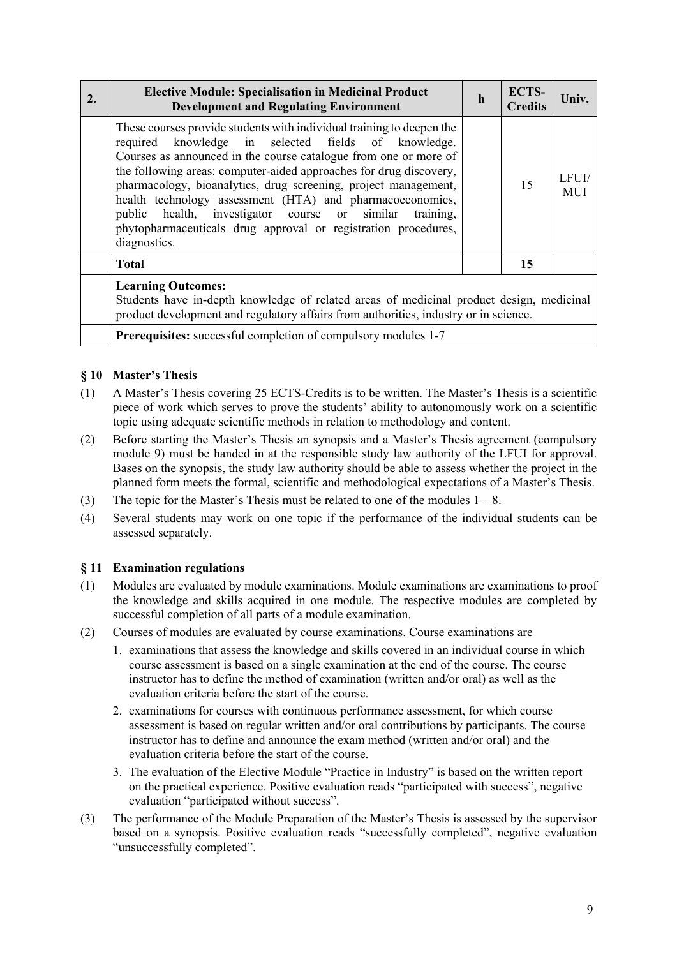| 2. | <b>Elective Module: Specialisation in Medicinal Product</b><br><b>Development and Regulating Environment</b>                                                                                                                                                                                                                                                                                                                                                                                                                                              | $\mathbf h$ | ECTS-<br><b>Credits</b> | Univ.               |  |
|----|-----------------------------------------------------------------------------------------------------------------------------------------------------------------------------------------------------------------------------------------------------------------------------------------------------------------------------------------------------------------------------------------------------------------------------------------------------------------------------------------------------------------------------------------------------------|-------------|-------------------------|---------------------|--|
|    | These courses provide students with individual training to deepen the<br>required knowledge in selected fields of knowledge.<br>Courses as announced in the course catalogue from one or more of<br>the following areas: computer-aided approaches for drug discovery,<br>pharmacology, bioanalytics, drug screening, project management,<br>health technology assessment (HTA) and pharmacoeconomics,<br>health, investigator course or similar<br>public<br>training,<br>phytopharmaceuticals drug approval or registration procedures,<br>diagnostics. |             | 15                      | LFUI/<br><b>MUI</b> |  |
|    | <b>Total</b>                                                                                                                                                                                                                                                                                                                                                                                                                                                                                                                                              |             | 15                      |                     |  |
|    | <b>Learning Outcomes:</b><br>Students have in-depth knowledge of related areas of medicinal product design, medicinal<br>product development and regulatory affairs from authorities, industry or in science.                                                                                                                                                                                                                                                                                                                                             |             |                         |                     |  |
|    | <b>Prerequisites:</b> successful completion of compulsory modules 1-7                                                                                                                                                                                                                                                                                                                                                                                                                                                                                     |             |                         |                     |  |

# **§ 10 Master's Thesis**

- (1) A Master's Thesis covering 25 ECTS-Credits is to be written. The Master's Thesis is a scientific piece of work which serves to prove the students' ability to autonomously work on a scientific topic using adequate scientific methods in relation to methodology and content.
- (2) Before starting the Master's Thesis an synopsis and a Master's Thesis agreement (compulsory module 9) must be handed in at the responsible study law authority of the LFUI for approval. Bases on the synopsis, the study law authority should be able to assess whether the project in the planned form meets the formal, scientific and methodological expectations of a Master's Thesis.
- (3) The topic for the Master's Thesis must be related to one of the modules  $1 8$ .
- (4) Several students may work on one topic if the performance of the individual students can be assessed separately.

#### **§ 11 Examination regulations**

- (1) Modules are evaluated by module examinations. Module examinations are examinations to proof the knowledge and skills acquired in one module. The respective modules are completed by successful completion of all parts of a module examination.
- (2) Courses of modules are evaluated by course examinations. Course examinations are
	- 1. examinations that assess the knowledge and skills covered in an individual course in which course assessment is based on a single examination at the end of the course. The course instructor has to define the method of examination (written and/or oral) as well as the evaluation criteria before the start of the course.
	- 2. examinations for courses with continuous performance assessment, for which course assessment is based on regular written and/or oral contributions by participants. The course instructor has to define and announce the exam method (written and/or oral) and the evaluation criteria before the start of the course.
	- 3. The evaluation of the Elective Module "Practice in Industry" is based on the written report on the practical experience. Positive evaluation reads "participated with success", negative evaluation "participated without success".
- (3) The performance of the Module Preparation of the Master's Thesis is assessed by the supervisor based on a synopsis. Positive evaluation reads "successfully completed", negative evaluation "unsuccessfully completed".